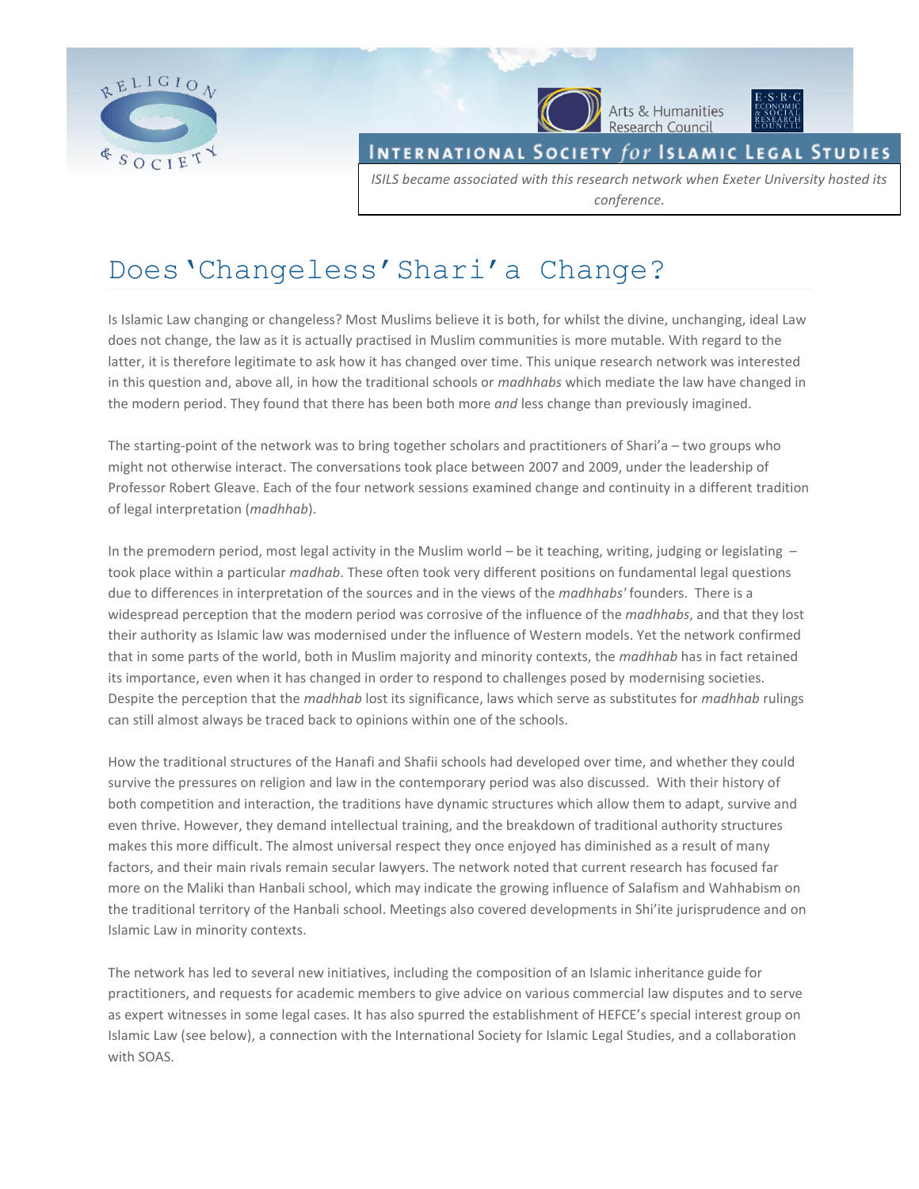

INTERNATIONAL SOCIETY  $for$  Islamic Legal Studies

Arts & Humanities<br>Research Council

*ISILS became associated with this research network when Exeter University hosted its conference.*

# Does'Changeless'Shari'a Change?

Is Islamic Law changing or changeless? Most Muslims believe it is both, for whilst the divine, unchanging, ideal Law does not change, the law as it is actually practised in Muslim communities is more mutable. With regard to the latter, it is therefore legitimate to ask how it has changed over time. This unique research network was interested in this question and, above all, in how the traditional schools or *madhhabs* which mediate the law have changed in the modern period. They found that there has been both more *and* less change than previously imagined.

The starting-point of the network was to bring together scholars and practitioners of Shari'a – two groups who might not otherwise interact. The conversations took place between 2007 and 2009, under the leadership of Professor Robert Gleave. Each of the four network sessions examined change and continuity in a different tradition of legal interpretation (*madhhab*).

In the premodern period, most legal activity in the Muslim world – be it teaching, writing, judging or legislating – took place within a particular *madhab*. These often took very different positions on fundamental legal questions due to differences in interpretation of the sources and in the views of the *madhhabs'* founders. There is a widespread perception that the modern period was corrosive of the influence of the *madhhabs*, and that they lost their authority as Islamic law was modernised under the influence of Western models. Yet the network confirmed that in some parts of the world, both in Muslim majority and minority contexts, the *madhhab* has in fact retained its importance, even when it has changed in order to respond to challenges posed by modernising societies. Despite the perception that the *madhhab* lost its significance, laws which serve as substitutes for *madhhab* rulings can still almost always be traced back to opinions within one of the schools.

How the traditional structures of the Hanafi and Shafii schools had developed over time, and whether they could survive the pressures on religion and law in the contemporary period was also discussed. With their history of both competition and interaction, the traditions have dynamic structures which allow them to adapt, survive and even thrive. However, they demand intellectual training, and the breakdown of traditional authority structures makes this more difficult. The almost universal respect they once enjoyed has diminished as a result of many factors, and their main rivals remain secular lawyers. The network noted that current research has focused far more on the Maliki than Hanbali school, which may indicate the growing influence of Salafism and Wahhabism on the traditional territory of the Hanbali school. Meetings also covered developments in Shi'ite jurisprudence and on Islamic Law in minority contexts.

The network has led to several new initiatives, including the composition of an Islamic inheritance guide for practitioners, and requests for academic members to give advice on various commercial law disputes and to serve as expert witnesses in some legal cases. It has also spurred the establishment of HEFCE's special interest group on Islamic Law (see below), a connection with the International Society for Islamic Legal Studies, and a collaboration with SOAS.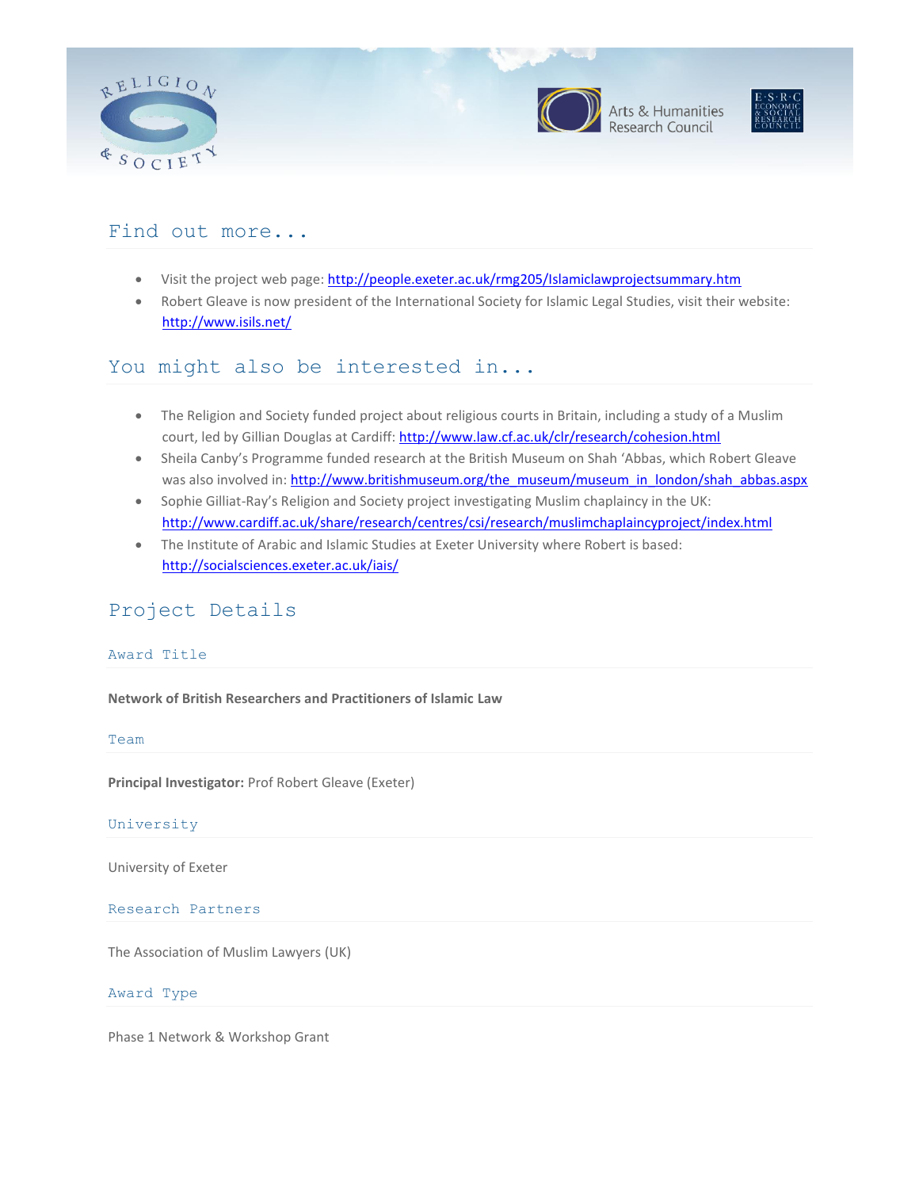

### Find out more...

- Visit the project web page[: http://people.exeter.ac.uk/rmg205/Islamiclawprojectsummary.htm](http://people.exeter.ac.uk/rmg205/Islamiclawprojectsummary.htm)
- Robert Gleave is now president of the International Society for Islamic Legal Studies, visit their website: <http://www.isils.net/>

### You might also be interested in...

- The Religion and Society funded project about religious courts in Britain, including a study of a Muslim court, led by Gillian Douglas at Cardiff:<http://www.law.cf.ac.uk/clr/research/cohesion.html>
- Sheila Canby's Programme funded research at the British Museum on Shah 'Abbas, which Robert Gleave was also involved in: [http://www.britishmuseum.org/the\\_museum/museum\\_in\\_london/shah\\_abbas.aspx](http://www.britishmuseum.org/the_museum/museum_in_london/shah_abbas.aspx)
- Sophie Gilliat-Ray's Religion and Society project investigating Muslim chaplaincy in the UK: <http://www.cardiff.ac.uk/share/research/centres/csi/research/muslimchaplaincyproject/index.html>
- The Institute of Arabic and Islamic Studies at Exeter University where Robert is based: <http://socialsciences.exeter.ac.uk/iais/>

### Project Details

#### Award Title

**Network of British Researchers and Practitioners of Islamic Law**

#### Team

**Principal Investigator:** Prof Robert Gleave (Exeter)

#### University

University of Exeter

#### Research Partners

The Association of Muslim Lawyers (UK)

#### Award Type

Phase 1 Network & Workshop Grant